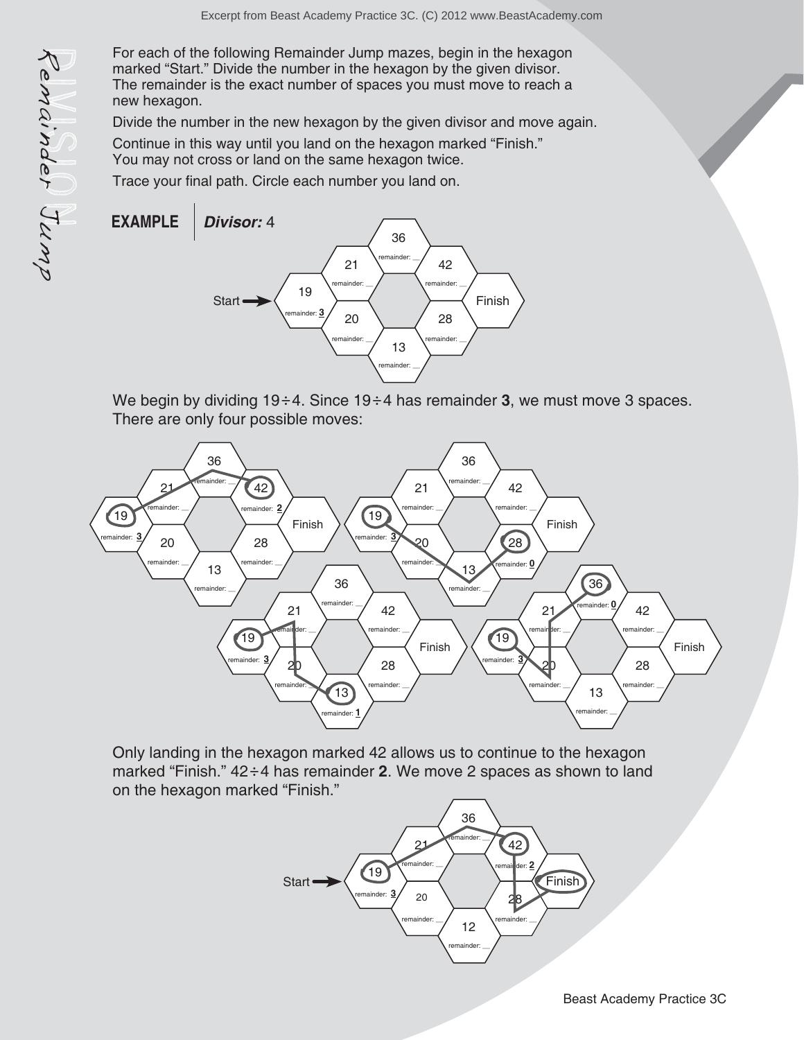For each of the following Remainder Jump mazes, begin in the hexagon marked "Start." Divide the number in the hexagon by the given divisor. The remainder is the exact number of spaces you must move to reach a new hexagon.

Divide the number in the new hexagon by the given divisor and move again.

Continue in this way until you land on the hexagon marked "Finish." You may not cross or land on the same hexagon twice.

Trace your final path. Circle each number you land on.



We begin by dividing 19÷4. Since 19÷4 has remainder 3, we must move 3 spaces. There are only four possible moves:



Only landing in the hexagon marked 42 allows us to continue to the hexagon marked "Finish."  $42 \div 4$  has remainder 2. We move 2 spaces as shown to land on the hexagon marked "Finish."

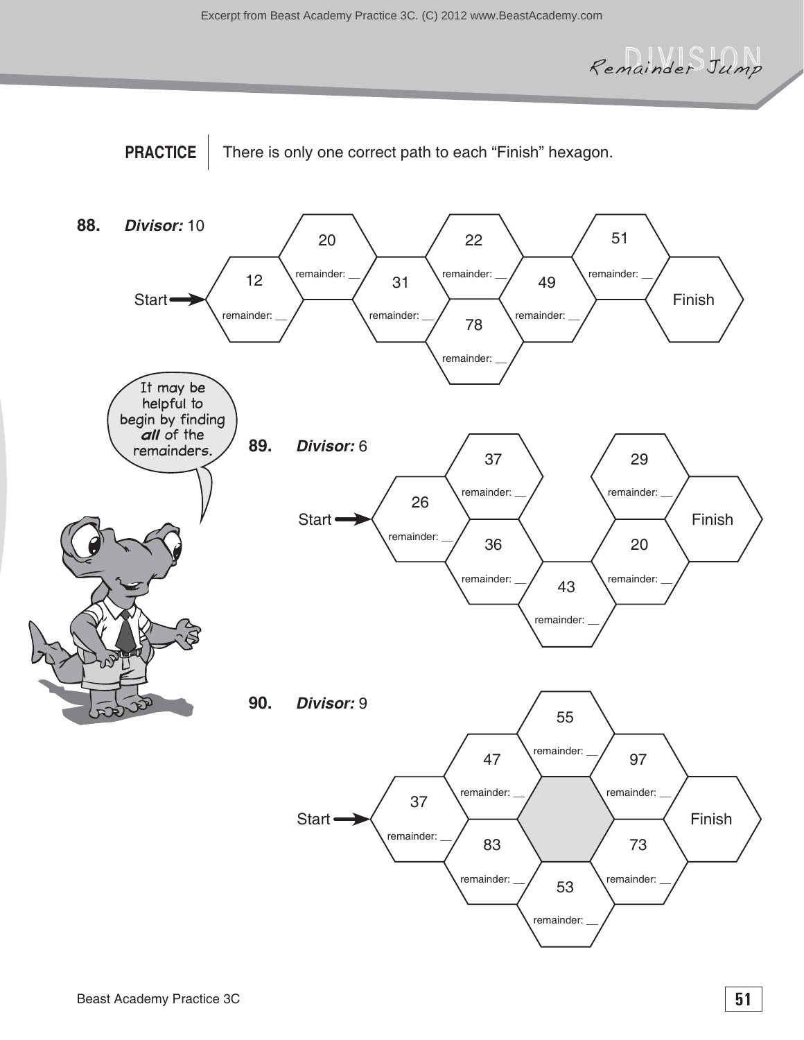Remainder Jump